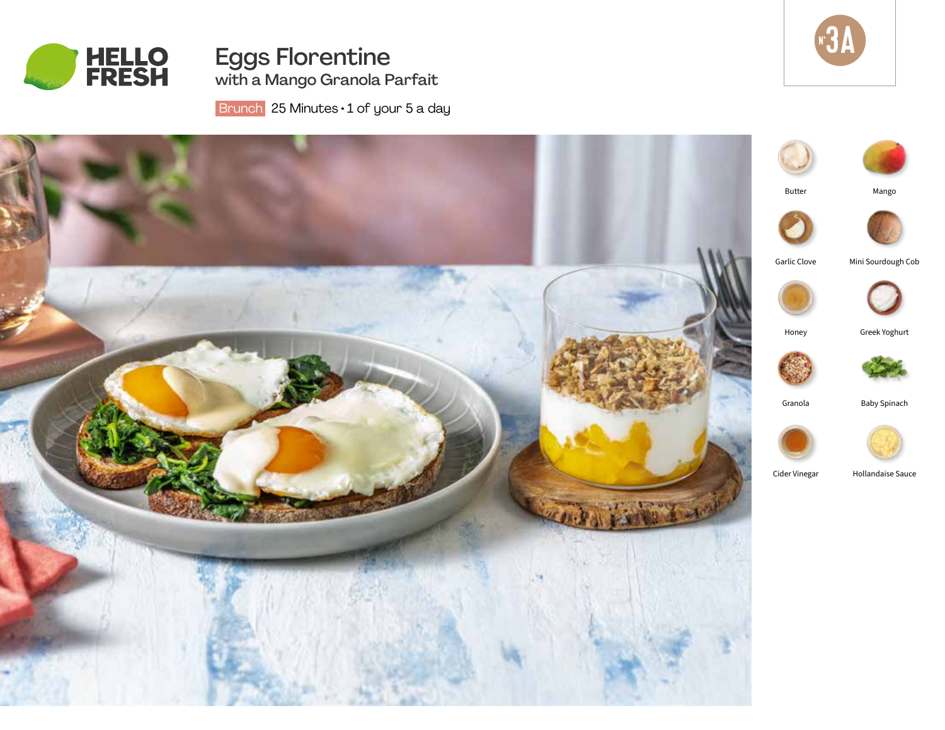

Eggs Florentine with a Mango Granola Parfait  $N_{\bullet}$ 3A

Brunch 25 Minutes · 1 of your 5 a day